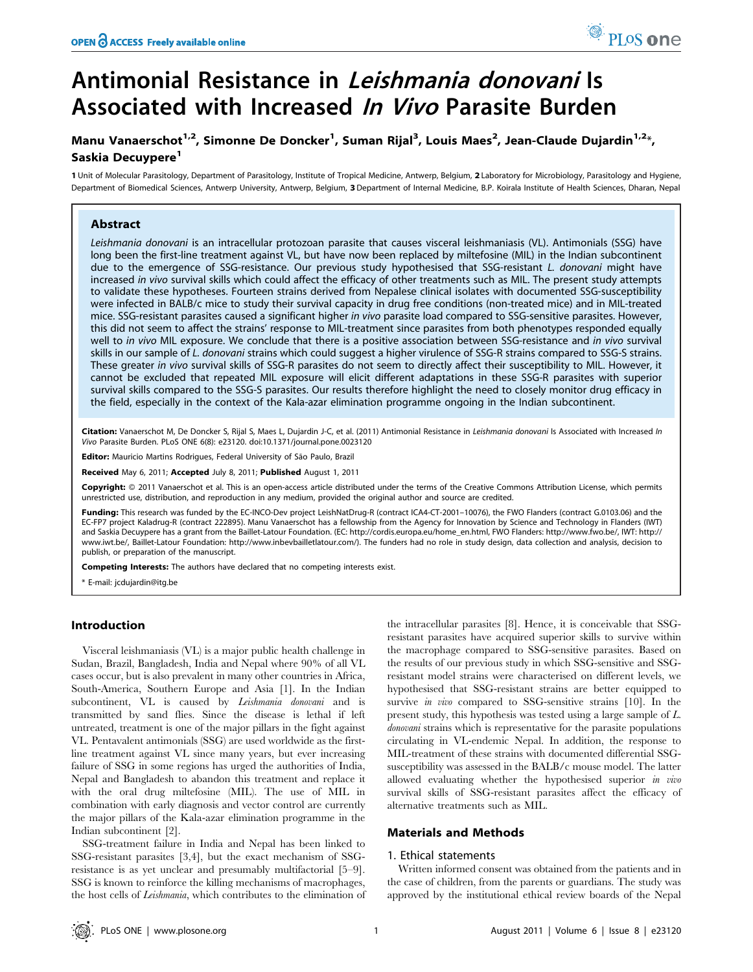# Antimonial Resistance in Leishmania donovani Is Associated with Increased In Vivo Parasite Burden

# Manu Vanaerschot<sup>1,2</sup>, Simonne De Doncker<sup>1</sup>, Suman Rijal<sup>3</sup>, Louis Maes<sup>2</sup>, Jean-Claude Dujardin<sup>1,2</sup>\*, Saskia Decuvpere<sup>1</sup>

1 Unit of Molecular Parasitology, Department of Parasitology, Institute of Tropical Medicine, Antwerp, Belgium, 2 Laboratory for Microbiology, Parasitology and Hygiene, Department of Biomedical Sciences, Antwerp University, Antwerp, Belgium, 3 Department of Internal Medicine, B.P. Koirala Institute of Health Sciences, Dharan, Nepal

# Abstract

Leishmania donovani is an intracellular protozoan parasite that causes visceral leishmaniasis (VL). Antimonials (SSG) have long been the first-line treatment against VL, but have now been replaced by miltefosine (MIL) in the Indian subcontinent due to the emergence of SSG-resistance. Our previous study hypothesised that SSG-resistant L. donovani might have increased in vivo survival skills which could affect the efficacy of other treatments such as MIL. The present study attempts to validate these hypotheses. Fourteen strains derived from Nepalese clinical isolates with documented SSG-susceptibility were infected in BALB/c mice to study their survival capacity in drug free conditions (non-treated mice) and in MIL-treated mice. SSG-resistant parasites caused a significant higher in vivo parasite load compared to SSG-sensitive parasites. However, this did not seem to affect the strains' response to MIL-treatment since parasites from both phenotypes responded equally well to in vivo MIL exposure. We conclude that there is a positive association between SSG-resistance and in vivo survival skills in our sample of L. donovani strains which could suggest a higher virulence of SSG-R strains compared to SSG-S strains. These greater in vivo survival skills of SSG-R parasites do not seem to directly affect their susceptibility to MIL. However, it cannot be excluded that repeated MIL exposure will elicit different adaptations in these SSG-R parasites with superior survival skills compared to the SSG-S parasites. Our results therefore highlight the need to closely monitor drug efficacy in the field, especially in the context of the Kala-azar elimination programme ongoing in the Indian subcontinent.

Citation: Vanaerschot M, De Doncker S, Rijal S, Maes L, Dujardin J-C, et al. (2011) Antimonial Resistance in Leishmania donovani Is Associated with Increased In Vivo Parasite Burden. PLoS ONE 6(8): e23120. doi:10.1371/journal.pone.0023120

Editor: Mauricio Martins Rodrigues, Federal University of São Paulo, Brazil

Received May 6, 2011; Accepted July 8, 2011; Published August 1, 2011

**Copyright:** © 2011 Vanaerschot et al. This is an open-access article distributed under the terms of the Creative Commons Attribution License, which permits unrestricted use, distribution, and reproduction in any medium, provided the original author and source are credited.

Funding: This research was funded by the EC-INCO-Dev project LeishNatDrug-R (contract ICA4-CT-2001-10076), the FWO Flanders (contract G.0103.06) and the EC-FP7 project Kaladrug-R (contract 222895). Manu Vanaerschot has a fellowship from the Agency for Innovation by Science and Technology in Flanders (IWT) and Saskia Decuypere has a grant from the Baillet-Latour Foundation. (EC: http://cordis.europa.eu/home\_en.html, FWO Flanders: http://www.fwo.be/, IWT: http:// www.iwt.be/, Baillet-Latour Foundation: http://www.inbevbailletlatour.com/). The funders had no role in study design, data collection and analysis, decision to publish, or preparation of the manuscript.

Competing Interests: The authors have declared that no competing interests exist.

\* E-mail: jcdujardin@itg.be

### Introduction

Visceral leishmaniasis (VL) is a major public health challenge in Sudan, Brazil, Bangladesh, India and Nepal where 90% of all VL cases occur, but is also prevalent in many other countries in Africa, South-America, Southern Europe and Asia [1]. In the Indian subcontinent, VL is caused by Leishmania donovani and is transmitted by sand flies. Since the disease is lethal if left untreated, treatment is one of the major pillars in the fight against VL. Pentavalent antimonials (SSG) are used worldwide as the firstline treatment against VL since many years, but ever increasing failure of SSG in some regions has urged the authorities of India, Nepal and Bangladesh to abandon this treatment and replace it with the oral drug miltefosine (MIL). The use of MIL in combination with early diagnosis and vector control are currently the major pillars of the Kala-azar elimination programme in the Indian subcontinent [2].

SSG-treatment failure in India and Nepal has been linked to SSG-resistant parasites [3,4], but the exact mechanism of SSGresistance is as yet unclear and presumably multifactorial [5–9]. SSG is known to reinforce the killing mechanisms of macrophages, the host cells of Leishmania, which contributes to the elimination of the intracellular parasites [8]. Hence, it is conceivable that SSGresistant parasites have acquired superior skills to survive within the macrophage compared to SSG-sensitive parasites. Based on the results of our previous study in which SSG-sensitive and SSGresistant model strains were characterised on different levels, we hypothesised that SSG-resistant strains are better equipped to survive *in vivo* compared to SSG-sensitive strains [10]. In the present study, this hypothesis was tested using a large sample of L. donovani strains which is representative for the parasite populations circulating in VL-endemic Nepal. In addition, the response to MIL-treatment of these strains with documented differential SSGsusceptibility was assessed in the BALB/c mouse model. The latter allowed evaluating whether the hypothesised superior in vivo survival skills of SSG-resistant parasites affect the efficacy of alternative treatments such as MIL.

## Materials and Methods

#### 1. Ethical statements

Written informed consent was obtained from the patients and in the case of children, from the parents or guardians. The study was approved by the institutional ethical review boards of the Nepal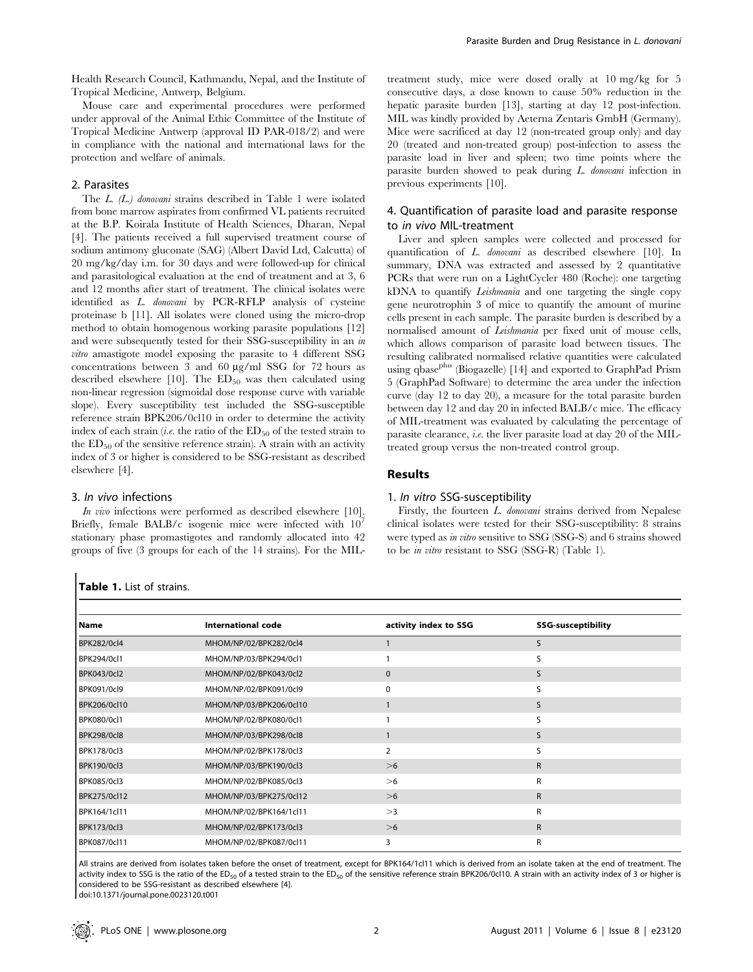Health Research Council, Kathmandu, Nepal, and the Institute of Tropical Medicine, Antwerp, Belgium.

Mouse care and experimental procedures were performed under approval of the Animal Ethic Committee of the Institute of Tropical Medicine Antwerp (approval ID PAR-018/2) and were in compliance with the national and international laws for the protection and welfare of animals.

#### 2. Parasites

The L. (L.) donovani strains described in Table 1 were isolated from bone marrow aspirates from confirmed VL patients recruited at the B.P. Koirala Institute of Health Sciences, Dharan, Nepal [4]. The patients received a full supervised treatment course of sodium antimony gluconate (SAG) (Albert David Ltd, Calcutta) of 20 mg/kg/day i.m. for 30 days and were followed-up for clinical and parasitological evaluation at the end of treatment and at 3, 6 and 12 months after start of treatment. The clinical isolates were identified as L. donovani by PCR-RFLP analysis of cysteine proteinase b [11]. All isolates were cloned using the micro-drop method to obtain homogenous working parasite populations [12] and were subsequently tested for their SSG-susceptibility in an in vitro amastigote model exposing the parasite to 4 different SSG concentrations between 3 and 60  $\mu$ g/ml SSG for 72 hours as described elsewhere  $[10]$ . The  $ED_{50}$  was then calculated using non-linear regression (sigmoidal dose response curve with variable slope). Every susceptibility test included the SSG-susceptible reference strain BPK206/0cl10 in order to determine the activity index of each strain (*i.e.* the ratio of the  $ED_{50}$  of the tested strain to the  $ED_{50}$  of the sensitive reference strain). A strain with an activity index of 3 or higher is considered to be SSG-resistant as described elsewhere [4].

#### 3. In vivo infections

In vivo infections were performed as described elsewhere [10]. Briefly, female BALB/c isogenic mice were infected with 10<sup>7</sup> stationary phase promastigotes and randomly allocated into 42 groups of five (3 groups for each of the 14 strains). For the MIL- treatment study, mice were dosed orally at 10 mg/kg for 5 consecutive days, a dose known to cause 50% reduction in the hepatic parasite burden [13], starting at day 12 post-infection. MIL was kindly provided by Aeterna Zentaris GmbH (Germany). Mice were sacrificed at day 12 (non-treated group only) and day 20 (treated and non-treated group) post-infection to assess the parasite load in liver and spleen; two time points where the parasite burden showed to peak during L. donovani infection in previous experiments [10].

# 4. Quantification of parasite load and parasite response to in vivo MIL-treatment

Liver and spleen samples were collected and processed for quantification of L. donovani as described elsewhere [10]. In summary, DNA was extracted and assessed by 2 quantitative PCRs that were run on a LightCycler 480 (Roche): one targeting kDNA to quantify Leishmania and one targeting the single copy gene neurotrophin 3 of mice to quantify the amount of murine cells present in each sample. The parasite burden is described by a normalised amount of Leishmania per fixed unit of mouse cells, which allows comparison of parasite load between tissues. The resulting calibrated normalised relative quantities were calculated using qbase<sup>plus</sup> (Biogazelle) [14] and exported to GraphPad Prism 5 (GraphPad Software) to determine the area under the infection curve (day 12 to day 20), a measure for the total parasite burden between day 12 and day 20 in infected BALB/c mice. The efficacy of MIL-treatment was evaluated by calculating the percentage of parasite clearance, i.e. the liver parasite load at day 20 of the MILtreated group versus the non-treated control group.

# Results

#### 1. In vitro SSG-susceptibility

Firstly, the fourteen L. donovani strains derived from Nepalese clinical isolates were tested for their SSG-susceptibility: 8 strains were typed as in vitro sensitive to SSG (SSG-S) and 6 strains showed to be in vitro resistant to SSG (SSG-R) (Table 1).

| Name                | International code      | activity index to SSG | <b>SSG-susceptibility</b> |  |
|---------------------|-------------------------|-----------------------|---------------------------|--|
| <b>BPK282/0cl4</b>  | MHOM/NP/02/BPK282/0cl4  |                       | S                         |  |
| BPK294/0cl1         | MHOM/NP/03/BPK294/0cl1  |                       | S                         |  |
| <b>BPK043/0cl2</b>  | MHOM/NP/02/BPK043/0cl2  | $\mathbf{0}$          | S                         |  |
| <b>BPK091/0cl9</b>  | MHOM/NP/02/BPK091/0cl9  | 0                     | S                         |  |
| BPK206/0cl10        | MHOM/NP/03/BPK206/0cl10 |                       | S                         |  |
| <b>BPK080/0cl1</b>  | MHOM/NP/02/BPK080/0cl1  |                       |                           |  |
| <b>BPK298/0cl8</b>  | MHOM/NP/03/BPK298/0cl8  |                       | S                         |  |
| <b>BPK178/0cl3</b>  | MHOM/NP/02/BPK178/0cl3  | $\overline{2}$        | ς                         |  |
| BPK190/0cl3         | MHOM/NP/03/BPK190/0cl3  | >6                    | R                         |  |
| <b>BPK085/0cl3</b>  | MHOM/NP/02/BPK085/0cl3  | >6                    | R                         |  |
| <b>BPK275/0cl12</b> | MHOM/NP/03/BPK275/0cl12 | >6                    | $\mathsf{R}$              |  |
| BPK164/1cl11        | MHOM/NP/02/BPK164/1cl11 | >3                    | R                         |  |
| <b>BPK173/0cl3</b>  | MHOM/NP/02/BPK173/0cl3  | >6                    | $\mathsf{R}$              |  |
| <b>BPK087/0cl11</b> | MHOM/NP/02/BPK087/0cl11 | 3                     | R                         |  |

All strains are derived from isolates taken before the onset of treatment, except for BPK164/1cl11 which is derived from an isolate taken at the end of treatment. The activity index to SSG is the ratio of the ED<sub>50</sub> of a tested strain to the ED<sub>50</sub> of the sensitive reference strain BPK206/0cl10. A strain with an activity index of 3 or higher is considered to be SSG-resistant as described elsewhere [4].

doi:10.1371/journal.pone.0023120.t001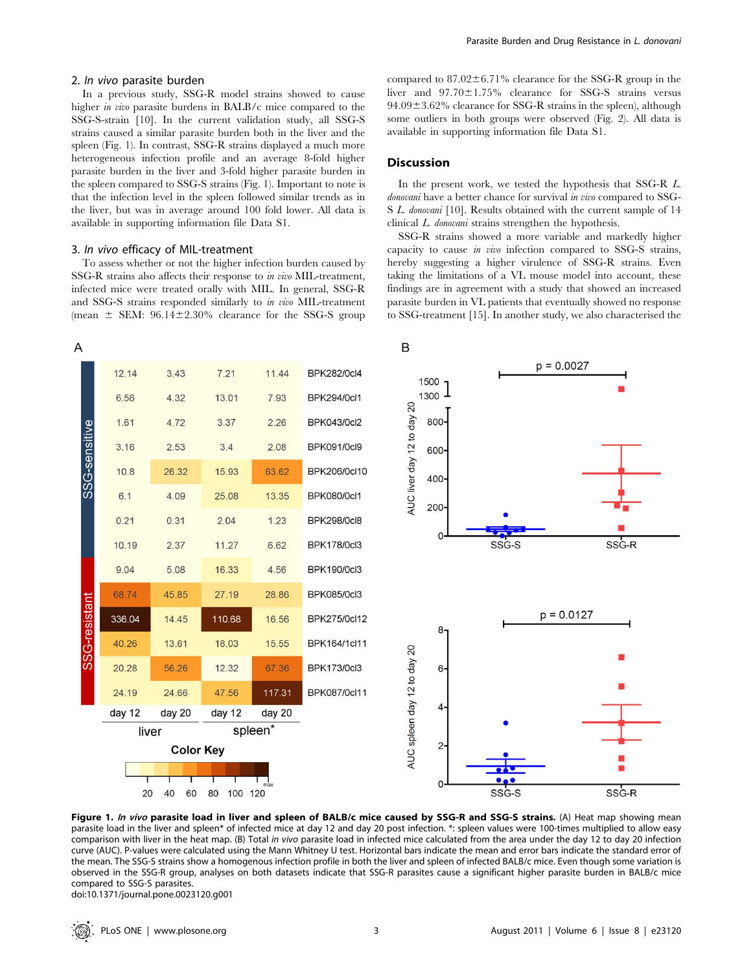#### 2. In vivo parasite burden

In a previous study, SSG-R model strains showed to cause higher *in vivo* parasite burdens in BALB/c mice compared to the SSG-S-strain [10]. In the current validation study, all SSG-S strains caused a similar parasite burden both in the liver and the spleen (Fig. 1). In contrast, SSG-R strains displayed a much more heterogeneous infection profile and an average 8-fold higher parasite burden in the liver and 3-fold higher parasite burden in the spleen compared to SSG-S strains (Fig. 1). Important to note is that the infection level in the spleen followed similar trends as in the liver, but was in average around 100 fold lower. All data is available in supporting information file Data S1.

#### 3. In vivo efficacy of MIL-treatment

To assess whether or not the higher infection burden caused by SSG-R strains also affects their response to in vivo MIL-treatment, infected mice were treated orally with MIL. In general, SSG-R and SSG-S strains responded similarly to in vivo MIL-treatment (mean  $\pm$  SEM: 96.14 $\pm$ 2.30% clearance for the SSG-S group compared to  $87.02 \pm 6.71\%$  clearance for the SSG-R group in the liver and  $97.70 \pm 1.75\%$  clearance for SSG-S strains versus  $94.09\pm3.62\%$  clearance for SSG-R strains in the spleen), although some outliers in both groups were observed (Fig. 2). All data is available in supporting information file Data S1.

# **Discussion**

In the present work, we tested the hypothesis that SSG-R L. donovani have a better chance for survival in vivo compared to SSG-S L. donovani [10]. Results obtained with the current sample of 14 clinical L. donovani strains strengthen the hypothesis.

SSG-R strains showed a more variable and markedly higher capacity to cause in vivo infection compared to SSG-S strains, hereby suggesting a higher virulence of SSG-R strains. Even taking the limitations of a VL mouse model into account, these findings are in agreement with a study that showed an increased parasite burden in VL patients that eventually showed no response to SSG-treatment [15]. In another study, we also characterised the



Figure 1. In vivo parasite load in liver and spleen of BALB/c mice caused by SSG-R and SSG-S strains. (A) Heat map showing mean parasite load in the liver and spleen\* of infected mice at day 12 and day 20 post infection. \*: spleen values were 100-times multiplied to allow easy comparison with liver in the heat map. (B) Total in vivo parasite load in infected mice calculated from the area under the day 12 to day 20 infection curve (AUC). P-values were calculated using the Mann Whitney U test. Horizontal bars indicate the mean and error bars indicate the standard error of the mean. The SSG-S strains show a homogenous infection profile in both the liver and spleen of infected BALB/c mice. Even though some variation is observed in the SSG-R group, analyses on both datasets indicate that SSG-R parasites cause a significant higher parasite burden in BALB/c mice compared to SSG-S parasites.

doi:10.1371/journal.pone.0023120.g001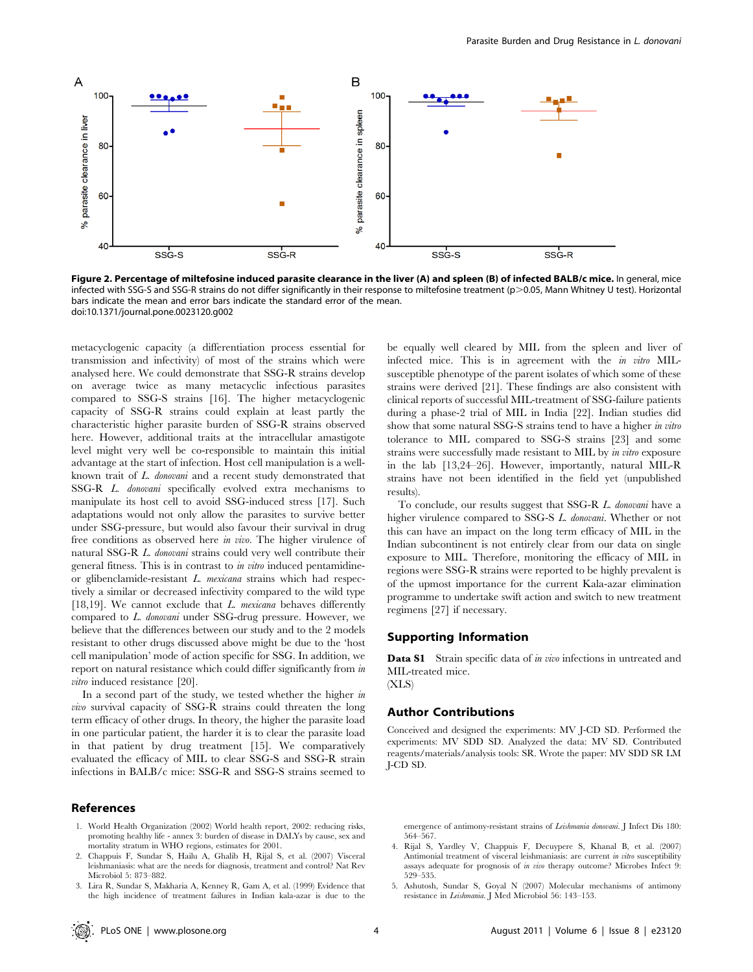

Figure 2. Percentage of miltefosine induced parasite clearance in the liver (A) and spleen (B) of infected BALB/c mice. In general, mice infected with SSG-S and SSG-R strains do not differ significantly in their response to miltefosine treatment (p>0.05, Mann Whitney U test). Horizontal bars indicate the mean and error bars indicate the standard error of the mean. doi:10.1371/journal.pone.0023120.g002

metacyclogenic capacity (a differentiation process essential for transmission and infectivity) of most of the strains which were analysed here. We could demonstrate that SSG-R strains develop on average twice as many metacyclic infectious parasites compared to SSG-S strains [16]. The higher metacyclogenic capacity of SSG-R strains could explain at least partly the characteristic higher parasite burden of SSG-R strains observed here. However, additional traits at the intracellular amastigote level might very well be co-responsible to maintain this initial advantage at the start of infection. Host cell manipulation is a wellknown trait of L. donovani and a recent study demonstrated that SSG-R L. donovani specifically evolved extra mechanisms to manipulate its host cell to avoid SSG-induced stress [17]. Such adaptations would not only allow the parasites to survive better under SSG-pressure, but would also favour their survival in drug free conditions as observed here in vivo. The higher virulence of natural SSG-R L. donovani strains could very well contribute their general fitness. This is in contrast to in vitro induced pentamidineor glibenclamide-resistant L. mexicana strains which had respectively a similar or decreased infectivity compared to the wild type [18,19]. We cannot exclude that  $L$ . mexicana behaves differently compared to L. donovani under SSG-drug pressure. However, we believe that the differences between our study and to the 2 models resistant to other drugs discussed above might be due to the 'host cell manipulation' mode of action specific for SSG. In addition, we report on natural resistance which could differ significantly from in *vitro* induced resistance [20].

In a second part of the study, we tested whether the higher in vivo survival capacity of SSG-R strains could threaten the long term efficacy of other drugs. In theory, the higher the parasite load in one particular patient, the harder it is to clear the parasite load in that patient by drug treatment [15]. We comparatively evaluated the efficacy of MIL to clear SSG-S and SSG-R strain infections in BALB/c mice: SSG-R and SSG-S strains seemed to

# References

- 1. World Health Organization (2002) World health report, 2002: reducing risks, promoting healthy life - annex 3: burden of disease in DALYs by cause, sex and mortality stratum in WHO regions, estimates for 2001.
- 2. Chappuis F, Sundar S, Hailu A, Ghalib H, Rijal S, et al. (2007) Visceral leishmaniasis: what are the needs for diagnosis, treatment and control? Nat Rev Microbiol 5: 873–882.
- 3. Lira R, Sundar S, Makharia A, Kenney R, Gam A, et al. (1999) Evidence that the high incidence of treatment failures in Indian kala-azar is due to the

be equally well cleared by MIL from the spleen and liver of infected mice. This is in agreement with the in vitro MILsusceptible phenotype of the parent isolates of which some of these strains were derived [21]. These findings are also consistent with clinical reports of successful MIL-treatment of SSG-failure patients during a phase-2 trial of MIL in India [22]. Indian studies did show that some natural SSG-S strains tend to have a higher in vitro tolerance to MIL compared to SSG-S strains [23] and some strains were successfully made resistant to MIL by in vitro exposure in the lab [13,24–26]. However, importantly, natural MIL-R strains have not been identified in the field yet (unpublished results).

To conclude, our results suggest that SSG-R L. donovani have a higher virulence compared to SSG-S L. donovani. Whether or not this can have an impact on the long term efficacy of MIL in the Indian subcontinent is not entirely clear from our data on single exposure to MIL. Therefore, monitoring the efficacy of MIL in regions were SSG-R strains were reported to be highly prevalent is of the upmost importance for the current Kala-azar elimination programme to undertake swift action and switch to new treatment regimens [27] if necessary.

#### Supporting Information

Data S1 Strain specific data of in vivo infections in untreated and MIL-treated mice.

 $(XLS)$ 

# Author Contributions

Conceived and designed the experiments: MV J-CD SD. Performed the experiments: MV SDD SD. Analyzed the data: MV SD. Contributed reagents/materials/analysis tools: SR. Wrote the paper: MV SDD SR LM J-CD SD.

emergence of antimony-resistant strains of Leishmania donovani. J Infect Dis 180: 564–567.

- 4. Rijal S, Yardley V, Chappuis F, Decuypere S, Khanal B, et al. (2007) Antimonial treatment of visceral leishmaniasis: are current *in vitro* susceptibility assays adequate for prognosis of in vivo therapy outcome? Microbes Infect 9: 529–535.
- 5. Ashutosh, Sundar S, Goyal N (2007) Molecular mechanisms of antimony resistance in Leishmania. J Med Microbiol 56: 143–153.